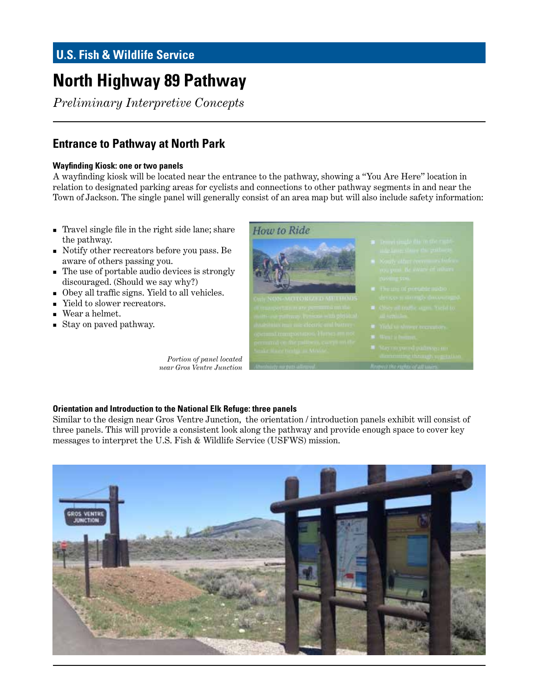# **U.S. Fish & Wildlife Service**

# **North Highway 89 Pathway**

*Preliminary Interpretive Concepts*

### **Entrance to Pathway at North Park**

#### **Wayfinding Kiosk: one or two panels**

A wayfinding kiosk will be located near the entrance to the pathway, showing a "You Are Here" location in relation to designated parking areas for cyclists and connections to other pathway segments in and near the Town of Jackson. The single panel will generally consist of an area map but will also include safety information:

- Travel single file in the right side lane; share the pathway.
- Notify other recreators before you pass. Be aware of others passing you.
- The use of portable audio devices is strongly discouraged. (Should we say why?)
- Obey all traffic signs. Yield to all vehicles.
- Yield to slower recreators.
- Wear a helmet.
- Stay on paved pathway.

*Portion of panel located near Gros Ventre Junction*



#### **Orientation and Introduction to the National Elk Refuge: three panels**

Similar to the design near Gros Ventre Junction, the orientation / introduction panels exhibit will consist of three panels. This will provide a consistent look along the pathway and provide enough space to cover key messages to interpret the U.S. Fish & Wildlife Service (USFWS) mission.

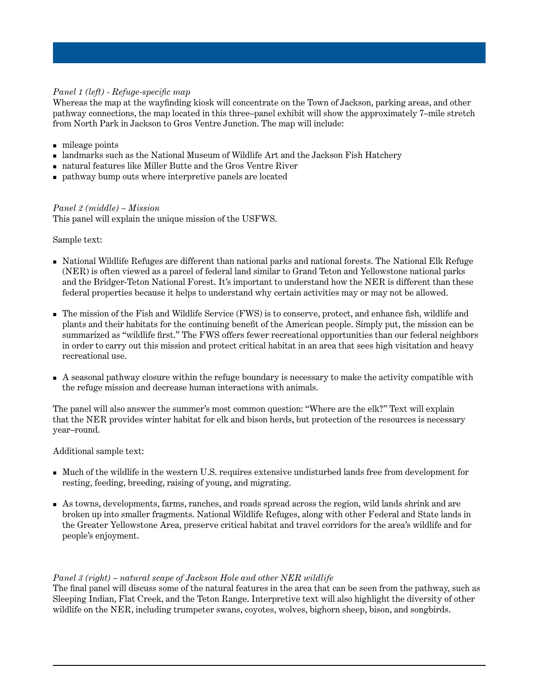#### *Panel 1 (left) - Refuge-specific map*

Whereas the map at the wayfinding kiosk will concentrate on the Town of Jackson, parking areas, and other pathway connections, the map located in this three–panel exhibit will show the approximately 7–mile stretch from North Park in Jackson to Gros Ventre Junction. The map will include:

- $\blacksquare$  mileage points
- landmarks such as the National Museum of Wildlife Art and the Jackson Fish Hatchery
- natural features like Miller Butte and the Gros Ventre River
- pathway bump outs where interpretive panels are located

#### *Panel 2 (middle) – Mission*

This panel will explain the unique mission of the USFWS.

Sample text:

- National Wildlife Refuges are different than national parks and national forests. The National Elk Refuge (NER) is often viewed as a parcel of federal land similar to Grand Teton and Yellowstone national parks and the Bridger-Teton National Forest. It's important to understand how the NER is different than these federal properties because it helps to understand why certain activities may or may not be allowed.
- The mission of the Fish and Wildlife Service (FWS) is to conserve, protect, and enhance fish, wildlife and plants and their habitats for the continuing benefit of the American people. Simply put, the mission can be summarized as "wildlife first." The FWS offers fewer recreational opportunities than our federal neighbors in order to carry out this mission and protect critical habitat in an area that sees high visitation and heavy recreational use.
- A seasonal pathway closure within the refuge boundary is necessary to make the activity compatible with the refuge mission and decrease human interactions with animals.

The panel will also answer the summer's most common question: "Where are the elk?" Text will explain that the NER provides winter habitat for elk and bison herds, but protection of the resources is necessary year–round.

Additional sample text:

- Much of the wildlife in the western U.S. requires extensive undisturbed lands free from development for resting, feeding, breeding, raising of young, and migrating.
- As towns, developments, farms, ranches, and roads spread across the region, wild lands shrink and are broken up into smaller fragments. National Wildlife Refuges, along with other Federal and State lands in the Greater Yellowstone Area, preserve critical habitat and travel corridors for the area's wildlife and for people's enjoyment.

#### *Panel 3 (right) – natural scape of Jackson Hole and other NER wildlife*

The final panel will discuss some of the natural features in the area that can be seen from the pathway, such as Sleeping Indian, Flat Creek, and the Teton Range. Interpretive text will also highlight the diversity of other wildlife on the NER, including trumpeter swans, coyotes, wolves, bighorn sheep, bison, and songbirds.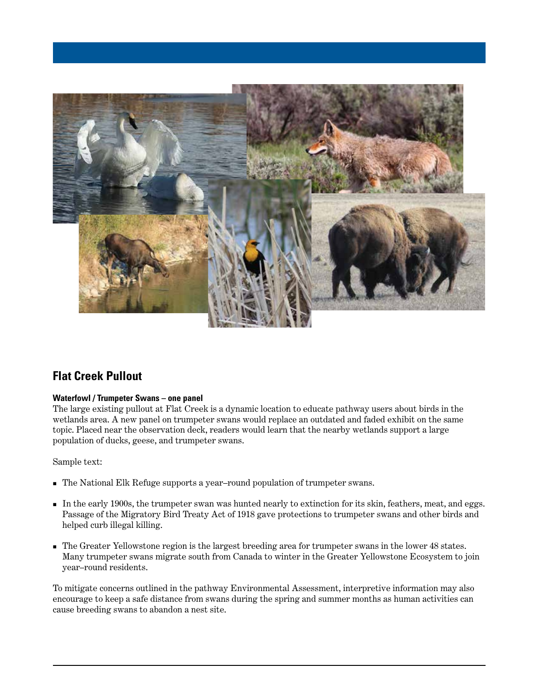

### **Flat Creek Pullout**

#### **Waterfowl / Trumpeter Swans – one panel**

The large existing pullout at Flat Creek is a dynamic location to educate pathway users about birds in the wetlands area. A new panel on trumpeter swans would replace an outdated and faded exhibit on the same topic. Placed near the observation deck, readers would learn that the nearby wetlands support a large population of ducks, geese, and trumpeter swans.

Sample text:

- The National Elk Refuge supports a year–round population of trumpeter swans.
- In the early 1900s, the trumpeter swan was hunted nearly to extinction for its skin, feathers, meat, and eggs. Passage of the Migratory Bird Treaty Act of 1918 gave protections to trumpeter swans and other birds and helped curb illegal killing.
- The Greater Yellowstone region is the largest breeding area for trumpeter swans in the lower 48 states. Many trumpeter swans migrate south from Canada to winter in the Greater Yellowstone Ecosystem to join year–round residents.

To mitigate concerns outlined in the pathway Environmental Assessment, interpretive information may also encourage to keep a safe distance from swans during the spring and summer months as human activities can cause breeding swans to abandon a nest site.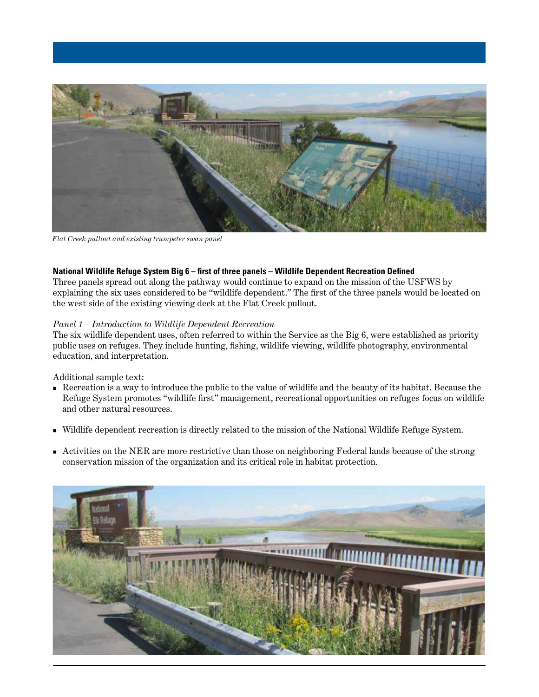

*Flat Creek pullout and existing trumpeter swan panel* 

#### **National Wildlife Refuge System Big 6 – first of three panels – Wildlife Dependent Recreation Defined**

Three panels spread out along the pathway would continue to expand on the mission of the USFWS by explaining the six uses considered to be "wildlife dependent." The first of the three panels would be located on the west side of the existing viewing deck at the Flat Creek pullout.

#### *Panel 1 – Introduction to Wildlife Dependent Recreation*

The six wildlife dependent uses, often referred to within the Service as the Big 6, were established as priority public uses on refuges. They include hunting, fishing, wildlife viewing, wildlife photography, environmental education, and interpretation.

#### Additional sample text:

- Recreation is a way to introduce the public to the value of wildlife and the beauty of its habitat. Because the Refuge System promotes "wildlife first" management, recreational opportunities on refuges focus on wildlife and other natural resources.
- Wildlife dependent recreation is directly related to the mission of the National Wildlife Refuge System.
- Activities on the NER are more restrictive than those on neighboring Federal lands because of the strong conservation mission of the organization and its critical role in habitat protection.

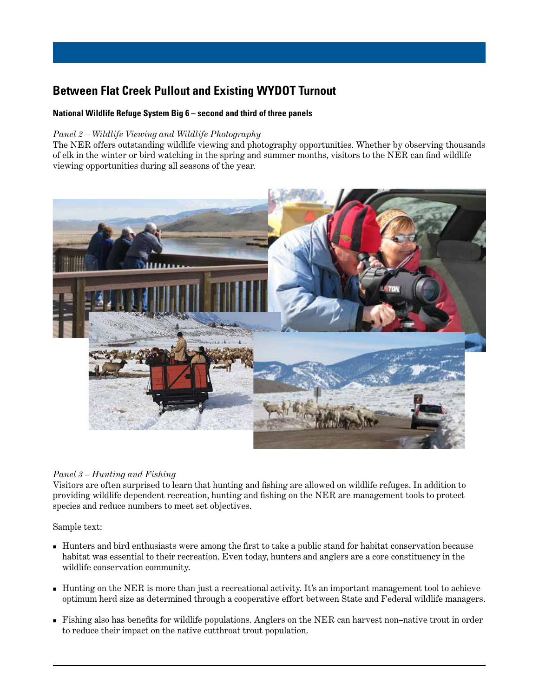# **Between Flat Creek Pullout and Existing WYDOT Turnout**

#### **National Wildlife Refuge System Big 6 – second and third of three panels**

#### *Panel 2 – Wildlife Viewing and Wildlife Photography*

The NER offers outstanding wildlife viewing and photography opportunities. Whether by observing thousands of elk in the winter or bird watching in the spring and summer months, visitors to the NER can find wildlife viewing opportunities during all seasons of the year.



#### *Panel 3 – Hunting and Fishing*

Visitors are often surprised to learn that hunting and fishing are allowed on wildlife refuges. In addition to providing wildlife dependent recreation, hunting and fishing on the NER are management tools to protect species and reduce numbers to meet set objectives.

Sample text:

- Hunters and bird enthusiasts were among the first to take a public stand for habitat conservation because habitat was essential to their recreation. Even today, hunters and anglers are a core constituency in the wildlife conservation community.
- Hunting on the NER is more than just a recreational activity. It's an important management tool to achieve optimum herd size as determined through a cooperative effort between State and Federal wildlife managers.
- Fishing also has benefits for wildlife populations. Anglers on the NER can harvest non–native trout in order to reduce their impact on the native cutthroat trout population.